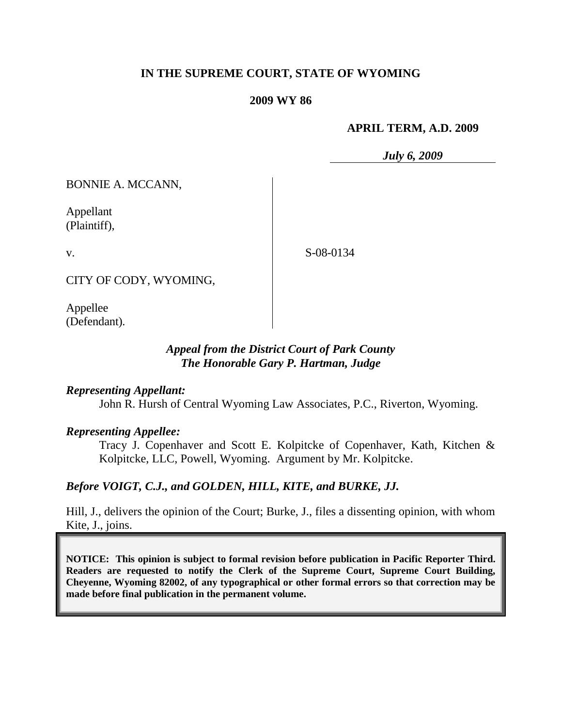# **IN THE SUPREME COURT, STATE OF WYOMING**

### **2009 WY 86**

### **APRIL TERM, A.D. 2009**

*July 6, 2009*

BONNIE A. MCCANN,

Appellant (Plaintiff),

v.

S-08-0134

CITY OF CODY, WYOMING,

Appellee (Defendant).

## *Appeal from the District Court of Park County The Honorable Gary P. Hartman, Judge*

## *Representing Appellant:*

John R. Hursh of Central Wyoming Law Associates, P.C., Riverton, Wyoming.

## *Representing Appellee:*

Tracy J. Copenhaver and Scott E. Kolpitcke of Copenhaver, Kath, Kitchen & Kolpitcke, LLC, Powell, Wyoming. Argument by Mr. Kolpitcke.

## *Before VOIGT, C.J., and GOLDEN, HILL, KITE, and BURKE, JJ.*

Hill, J., delivers the opinion of the Court; Burke, J., files a dissenting opinion, with whom Kite, J., joins.

**NOTICE: This opinion is subject to formal revision before publication in Pacific Reporter Third. Readers are requested to notify the Clerk of the Supreme Court, Supreme Court Building, Cheyenne, Wyoming 82002, of any typographical or other formal errors so that correction may be made before final publication in the permanent volume.**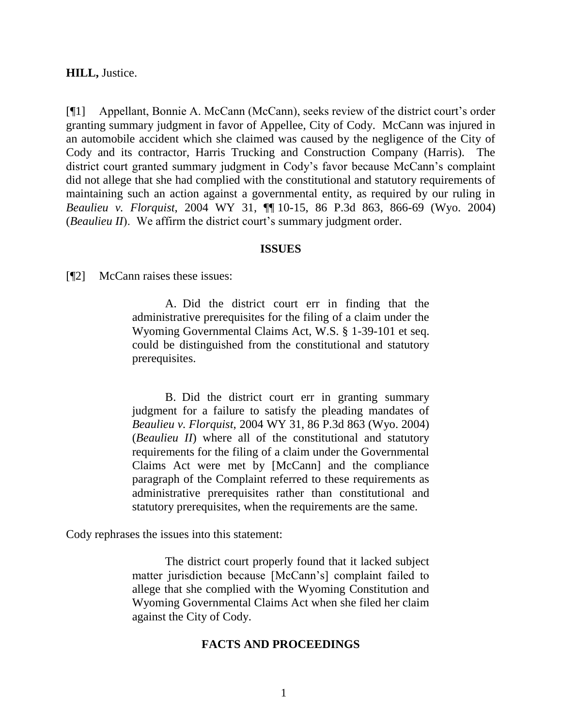**HILL,** Justice.

[¶1] Appellant, Bonnie A. McCann (McCann), seeks review of the district court"s order granting summary judgment in favor of Appellee, City of Cody. McCann was injured in an automobile accident which she claimed was caused by the negligence of the City of Cody and its contractor, Harris Trucking and Construction Company (Harris). The district court granted summary judgment in Cody's favor because McCann's complaint did not allege that she had complied with the constitutional and statutory requirements of maintaining such an action against a governmental entity, as required by our ruling in *Beaulieu v. Florquist*, 2004 WY 31, ¶¶ 10-15, 86 P.3d 863, 866-69 (Wyo. 2004) (*Beaulieu II*). We affirm the district court's summary judgment order.

#### **ISSUES**

[¶2] McCann raises these issues:

A. Did the district court err in finding that the administrative prerequisites for the filing of a claim under the Wyoming Governmental Claims Act, W.S. § 1-39-101 et seq. could be distinguished from the constitutional and statutory prerequisites.

B. Did the district court err in granting summary judgment for a failure to satisfy the pleading mandates of *Beaulieu v. Florquist*, 2004 WY 31, 86 P.3d 863 (Wyo. 2004) (*Beaulieu II*) where all of the constitutional and statutory requirements for the filing of a claim under the Governmental Claims Act were met by [McCann] and the compliance paragraph of the Complaint referred to these requirements as administrative prerequisites rather than constitutional and statutory prerequisites, when the requirements are the same.

Cody rephrases the issues into this statement:

The district court properly found that it lacked subject matter jurisdiction because [McCann"s] complaint failed to allege that she complied with the Wyoming Constitution and Wyoming Governmental Claims Act when she filed her claim against the City of Cody.

#### **FACTS AND PROCEEDINGS**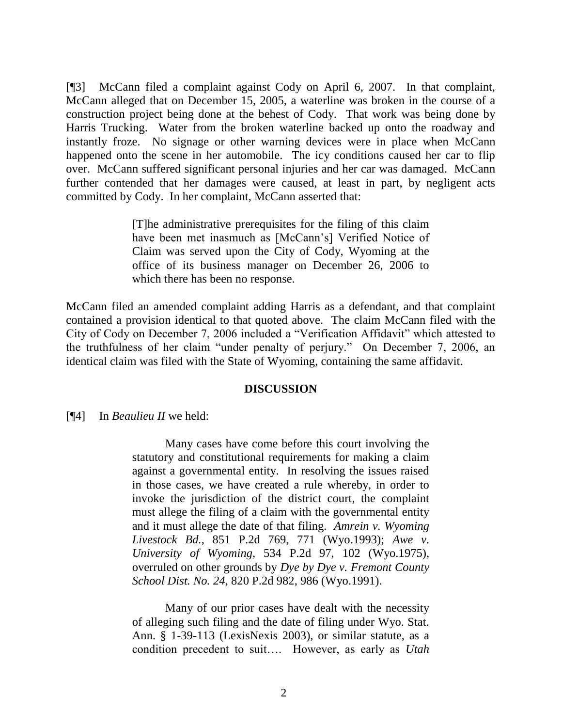[¶3] McCann filed a complaint against Cody on April 6, 2007. In that complaint, McCann alleged that on December 15, 2005, a waterline was broken in the course of a construction project being done at the behest of Cody. That work was being done by Harris Trucking. Water from the broken waterline backed up onto the roadway and instantly froze. No signage or other warning devices were in place when McCann happened onto the scene in her automobile. The icy conditions caused her car to flip over. McCann suffered significant personal injuries and her car was damaged. McCann further contended that her damages were caused, at least in part, by negligent acts committed by Cody. In her complaint, McCann asserted that:

> [T]he administrative prerequisites for the filing of this claim have been met inasmuch as [McCann"s] Verified Notice of Claim was served upon the City of Cody, Wyoming at the office of its business manager on December 26, 2006 to which there has been no response.

McCann filed an amended complaint adding Harris as a defendant, and that complaint contained a provision identical to that quoted above. The claim McCann filed with the City of Cody on December 7, 2006 included a "Verification Affidavit" which attested to the truthfulness of her claim "under penalty of perjury." On December 7, 2006, an identical claim was filed with the State of Wyoming, containing the same affidavit.

## **DISCUSSION**

[¶4] In *Beaulieu II* we held:

Many cases have come before this court involving the statutory and constitutional requirements for making a claim against a governmental entity. In resolving the issues raised in those cases, we have created a rule whereby, in order to invoke the jurisdiction of the district court, the complaint must allege the filing of a claim with the governmental entity and it must allege the date of that filing. *Amrein v. Wyoming Livestock Bd.*, 851 P.2d 769, 771 (Wyo.1993); *Awe v. University of Wyoming*, 534 P.2d 97, 102 (Wyo.1975), overruled on other grounds by *Dye by Dye v. Fremont County School Dist. No. 24*, 820 P.2d 982, 986 (Wyo.1991).

Many of our prior cases have dealt with the necessity of alleging such filing and the date of filing under Wyo. Stat. Ann. § 1-39-113 (LexisNexis 2003), or similar statute, as a condition precedent to suit…. However, as early as *Utah*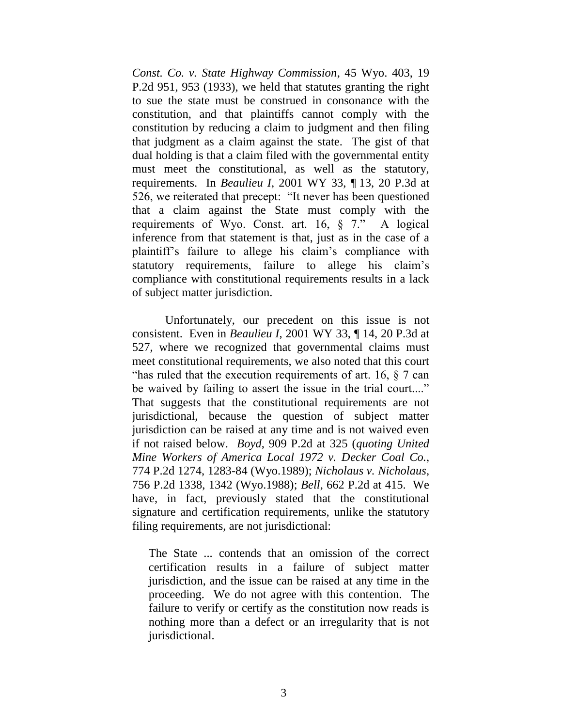*Const. Co. v. State Highway Commission*, 45 Wyo. 403, 19 P.2d 951, 953 (1933), we held that statutes granting the right to sue the state must be construed in consonance with the constitution, and that plaintiffs cannot comply with the constitution by reducing a claim to judgment and then filing that judgment as a claim against the state. The gist of that dual holding is that a claim filed with the governmental entity must meet the constitutional, as well as the statutory, requirements. In *Beaulieu I*, 2001 WY 33, ¶ 13, 20 P.3d at 526, we reiterated that precept: "It never has been questioned that a claim against the State must comply with the requirements of Wyo. Const. art. 16, § 7." A logical inference from that statement is that, just as in the case of a plaintiff"s failure to allege his claim"s compliance with statutory requirements, failure to allege his claim's compliance with constitutional requirements results in a lack of subject matter jurisdiction.

Unfortunately, our precedent on this issue is not consistent. Even in *Beaulieu I*, 2001 WY 33, ¶ 14, 20 P.3d at 527, where we recognized that governmental claims must meet constitutional requirements, we also noted that this court "has ruled that the execution requirements of art. 16,  $\delta$  7 can be waived by failing to assert the issue in the trial court...." That suggests that the constitutional requirements are not jurisdictional, because the question of subject matter jurisdiction can be raised at any time and is not waived even if not raised below. *Boyd*, 909 P.2d at 325 (*quoting United Mine Workers of America Local 1972 v. Decker Coal Co.*, 774 P.2d 1274, 1283-84 (Wyo.1989); *Nicholaus v. Nicholaus*, 756 P.2d 1338, 1342 (Wyo.1988); *Bell*, 662 P.2d at 415. We have, in fact, previously stated that the constitutional signature and certification requirements, unlike the statutory filing requirements, are not jurisdictional:

The State ... contends that an omission of the correct certification results in a failure of subject matter jurisdiction, and the issue can be raised at any time in the proceeding. We do not agree with this contention. The failure to verify or certify as the constitution now reads is nothing more than a defect or an irregularity that is not jurisdictional.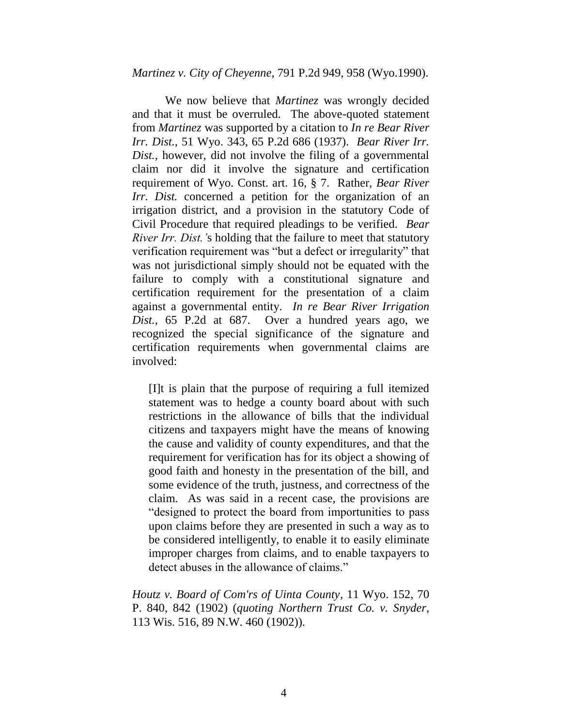#### *Martinez v. City of Cheyenne*, 791 P.2d 949, 958 (Wyo.1990).

We now believe that *Martinez* was wrongly decided and that it must be overruled. The above-quoted statement from *Martinez* was supported by a citation to *In re Bear River Irr. Dist.*, 51 Wyo. 343, 65 P.2d 686 (1937). *Bear River Irr. Dist.*, however, did not involve the filing of a governmental claim nor did it involve the signature and certification requirement of Wyo. Const. art. 16, § 7. Rather, *Bear River Irr. Dist.* concerned a petition for the organization of an irrigation district, and a provision in the statutory Code of Civil Procedure that required pleadings to be verified. *Bear River Irr. Dist.'*s holding that the failure to meet that statutory verification requirement was "but a defect or irregularity" that was not jurisdictional simply should not be equated with the failure to comply with a constitutional signature and certification requirement for the presentation of a claim against a governmental entity. *In re Bear River Irrigation Dist.*, 65 P.2d at 687. Over a hundred years ago, we recognized the special significance of the signature and certification requirements when governmental claims are involved:

[I]t is plain that the purpose of requiring a full itemized statement was to hedge a county board about with such restrictions in the allowance of bills that the individual citizens and taxpayers might have the means of knowing the cause and validity of county expenditures, and that the requirement for verification has for its object a showing of good faith and honesty in the presentation of the bill, and some evidence of the truth, justness, and correctness of the claim. As was said in a recent case, the provisions are "designed to protect the board from importunities to pass upon claims before they are presented in such a way as to be considered intelligently, to enable it to easily eliminate improper charges from claims, and to enable taxpayers to detect abuses in the allowance of claims."

*Houtz v. Board of Com'rs of Uinta County*, 11 Wyo. 152, 70 P. 840, 842 (1902) (*quoting Northern Trust Co. v. Snyder*, 113 Wis. 516, 89 N.W. 460 (1902)).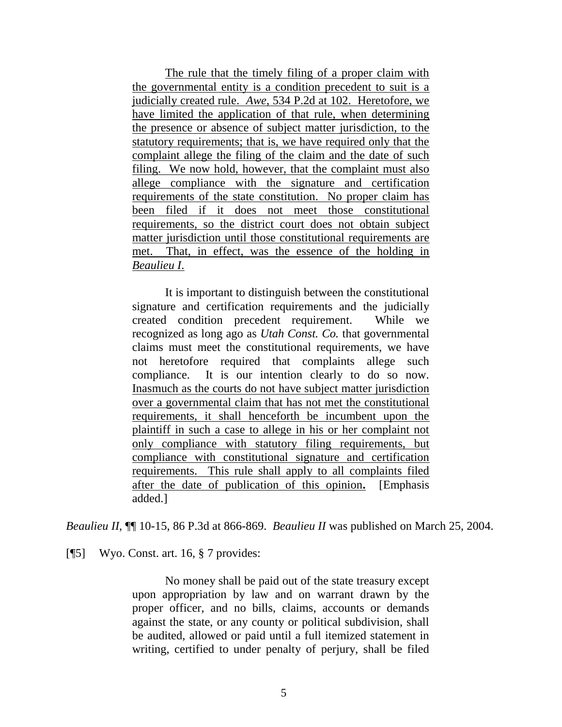The rule that the timely filing of a proper claim with the governmental entity is a condition precedent to suit is a judicially created rule. *Awe*, 534 P.2d at 102. Heretofore, we have limited the application of that rule, when determining the presence or absence of subject matter jurisdiction, to the statutory requirements; that is, we have required only that the complaint allege the filing of the claim and the date of such filing. We now hold, however, that the complaint must also allege compliance with the signature and certification requirements of the state constitution. No proper claim has been filed if it does not meet those constitutional requirements, so the district court does not obtain subject matter jurisdiction until those constitutional requirements are met. That, in effect, was the essence of the holding in *Beaulieu I*.

It is important to distinguish between the constitutional signature and certification requirements and the judicially created condition precedent requirement. While we recognized as long ago as *Utah Const. Co.* that governmental claims must meet the constitutional requirements, we have not heretofore required that complaints allege such compliance. It is our intention clearly to do so now. Inasmuch as the courts do not have subject matter jurisdiction over a governmental claim that has not met the constitutional requirements, it shall henceforth be incumbent upon the plaintiff in such a case to allege in his or her complaint not only compliance with statutory filing requirements, but compliance with constitutional signature and certification requirements. This rule shall apply to all complaints filed after the date of publication of this opinion**.** [Emphasis added.]

*Beaulieu II*, ¶¶ 10-15, 86 P.3d at 866-869. *Beaulieu II* was published on March 25, 2004.

[¶5] Wyo. Const. art. 16, § 7 provides:

No money shall be paid out of the state treasury except upon appropriation by law and on warrant drawn by the proper officer, and no bills, claims, accounts or demands against the state, or any county or political subdivision, shall be audited, allowed or paid until a full itemized statement in writing, certified to under penalty of perjury, shall be filed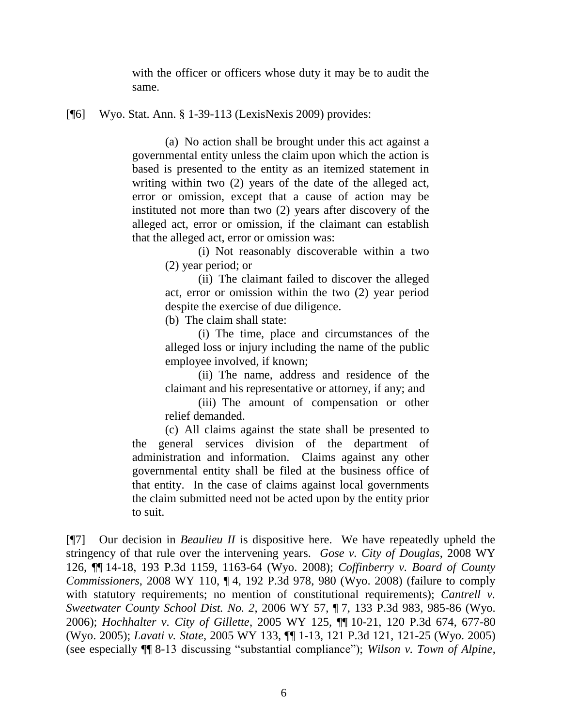with the officer or officers whose duty it may be to audit the same.

### [¶6] Wyo. Stat. Ann. § 1-39-113 (LexisNexis 2009) provides:

(a) No action shall be brought under this act against a governmental entity unless the claim upon which the action is based is presented to the entity as an itemized statement in writing within two (2) years of the date of the alleged act, error or omission, except that a cause of action may be instituted not more than two (2) years after discovery of the alleged act, error or omission, if the claimant can establish that the alleged act, error or omission was:

> (i) Not reasonably discoverable within a two (2) year period; or

> (ii) The claimant failed to discover the alleged act, error or omission within the two (2) year period despite the exercise of due diligence.

(b) The claim shall state:

(i) The time, place and circumstances of the alleged loss or injury including the name of the public employee involved, if known;

(ii) The name, address and residence of the claimant and his representative or attorney, if any; and

(iii) The amount of compensation or other relief demanded.

(c) All claims against the state shall be presented to the general services division of the department of administration and information. Claims against any other governmental entity shall be filed at the business office of that entity. In the case of claims against local governments the claim submitted need not be acted upon by the entity prior to suit.

[¶7] Our decision in *Beaulieu II* is dispositive here. We have repeatedly upheld the stringency of that rule over the intervening years. *Gose v. City of Douglas*, 2008 WY 126, ¶¶ 14-18, 193 P.3d 1159, 1163-64 (Wyo. 2008); *Coffinberry v. Board of County Commissioners*, 2008 WY 110, ¶ 4, 192 P.3d 978, 980 (Wyo. 2008) (failure to comply with statutory requirements; no mention of constitutional requirements); *Cantrell v. Sweetwater County School Dist. No. 2*, 2006 WY 57, ¶ 7, 133 P.3d 983, 985-86 (Wyo. 2006); *Hochhalter v. City of Gillette*, 2005 WY 125, ¶¶ 10-21, 120 P.3d 674, 677-80 (Wyo. 2005); *Lavati v. State*, 2005 WY 133, ¶¶ 1-13, 121 P.3d 121, 121-25 (Wyo. 2005) (see especially ¶¶ 8-13 discussing "substantial compliance"); *Wilson v. Town of Alpine*,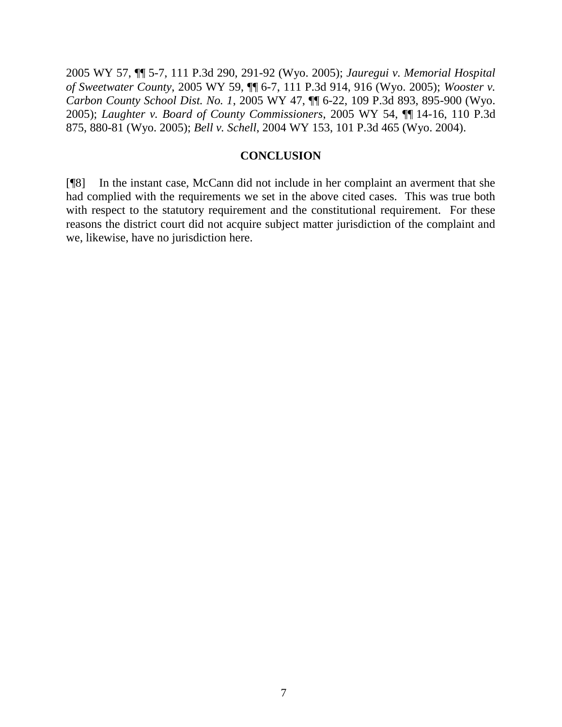2005 WY 57, ¶¶ 5-7, 111 P.3d 290, 291-92 (Wyo. 2005); *Jauregui v. Memorial Hospital of Sweetwater County*, 2005 WY 59, ¶¶ 6-7, 111 P.3d 914, 916 (Wyo. 2005); *Wooster v. Carbon County School Dist. No. 1*, 2005 WY 47, ¶¶ 6-22, 109 P.3d 893, 895-900 (Wyo. 2005); *Laughter v. Board of County Commissioners*, 2005 WY 54, ¶¶ 14-16, 110 P.3d 875, 880-81 (Wyo. 2005); *Bell v. Schell*, 2004 WY 153, 101 P.3d 465 (Wyo. 2004).

#### **CONCLUSION**

[¶8] In the instant case, McCann did not include in her complaint an averment that she had complied with the requirements we set in the above cited cases. This was true both with respect to the statutory requirement and the constitutional requirement. For these reasons the district court did not acquire subject matter jurisdiction of the complaint and we, likewise, have no jurisdiction here.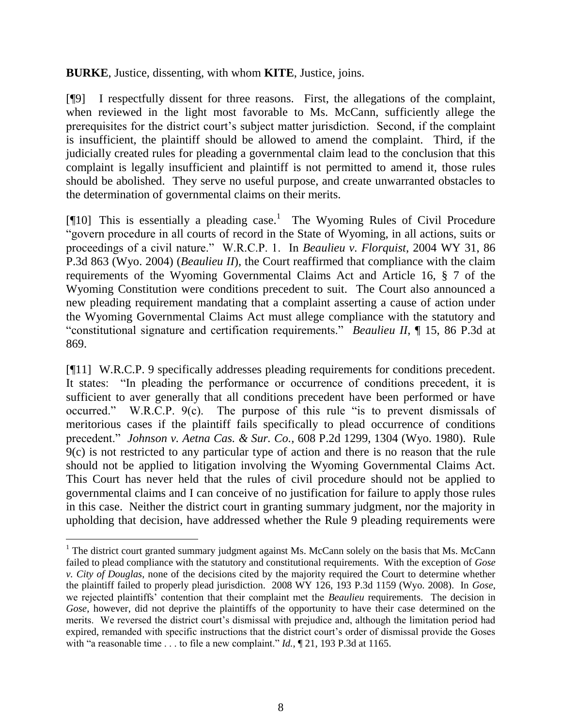**BURKE**, Justice, dissenting, with whom **KITE**, Justice, joins.

[¶9] I respectfully dissent for three reasons. First, the allegations of the complaint, when reviewed in the light most favorable to Ms. McCann, sufficiently allege the prerequisites for the district court"s subject matter jurisdiction. Second, if the complaint is insufficient, the plaintiff should be allowed to amend the complaint. Third, if the judicially created rules for pleading a governmental claim lead to the conclusion that this complaint is legally insufficient and plaintiff is not permitted to amend it, those rules should be abolished. They serve no useful purpose, and create unwarranted obstacles to the determination of governmental claims on their merits.

[ $[10]$  This is essentially a pleading case.<sup>1</sup> The Wyoming Rules of Civil Procedure "govern procedure in all courts of record in the State of Wyoming, in all actions, suits or proceedings of a civil nature." W.R.C.P. 1. In *Beaulieu v. Florquist*, 2004 WY 31, 86 P.3d 863 (Wyo. 2004) (*Beaulieu II*), the Court reaffirmed that compliance with the claim requirements of the Wyoming Governmental Claims Act and Article 16, § 7 of the Wyoming Constitution were conditions precedent to suit. The Court also announced a new pleading requirement mandating that a complaint asserting a cause of action under the Wyoming Governmental Claims Act must allege compliance with the statutory and "constitutional signature and certification requirements." *Beaulieu II*, ¶ 15, 86 P.3d at 869.

[¶11] W.R.C.P. 9 specifically addresses pleading requirements for conditions precedent. It states: "In pleading the performance or occurrence of conditions precedent, it is sufficient to aver generally that all conditions precedent have been performed or have occurred." W.R.C.P. 9(c). The purpose of this rule "is to prevent dismissals of meritorious cases if the plaintiff fails specifically to plead occurrence of conditions precedent." *Johnson v. Aetna Cas. & Sur. Co.*, 608 P.2d 1299, 1304 (Wyo. 1980). Rule 9(c) is not restricted to any particular type of action and there is no reason that the rule should not be applied to litigation involving the Wyoming Governmental Claims Act. This Court has never held that the rules of civil procedure should not be applied to governmental claims and I can conceive of no justification for failure to apply those rules in this case. Neither the district court in granting summary judgment, nor the majority in upholding that decision, have addressed whether the Rule 9 pleading requirements were

 $\overline{a}$ 

<sup>&</sup>lt;sup>1</sup> The district court granted summary judgment against Ms. McCann solely on the basis that Ms. McCann failed to plead compliance with the statutory and constitutional requirements. With the exception of *Gose v. City of Douglas*, none of the decisions cited by the majority required the Court to determine whether the plaintiff failed to properly plead jurisdiction. 2008 WY 126, 193 P.3d 1159 (Wyo. 2008). In *Gose*, we rejected plaintiffs" contention that their complaint met the *Beaulieu* requirements. The decision in *Gose*, however, did not deprive the plaintiffs of the opportunity to have their case determined on the merits. We reversed the district court"s dismissal with prejudice and, although the limitation period had expired, remanded with specific instructions that the district court's order of dismissal provide the Goses with "a reasonable time . . . to file a new complaint." *Id.*, ¶ 21, 193 P.3d at 1165.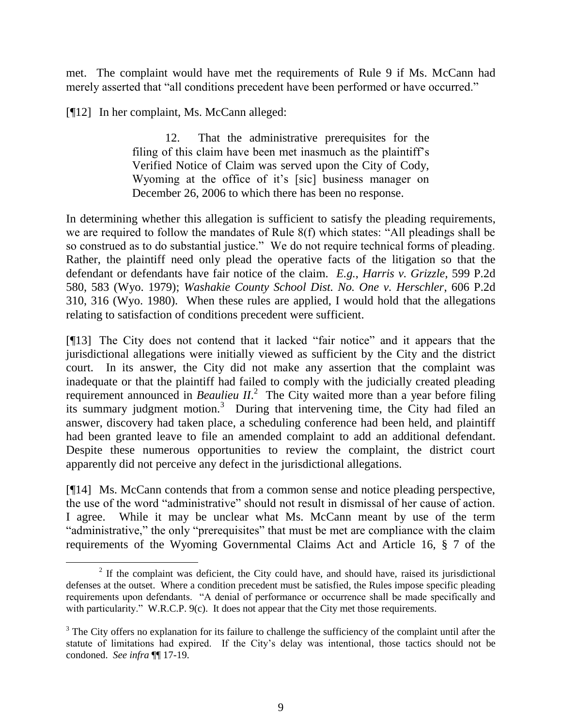met. The complaint would have met the requirements of Rule 9 if Ms. McCann had merely asserted that "all conditions precedent have been performed or have occurred."

[¶12] In her complaint, Ms. McCann alleged:

12. That the administrative prerequisites for the filing of this claim have been met inasmuch as the plaintiff's Verified Notice of Claim was served upon the City of Cody, Wyoming at the office of it's [sic] business manager on December 26, 2006 to which there has been no response.

In determining whether this allegation is sufficient to satisfy the pleading requirements, we are required to follow the mandates of Rule 8(f) which states: "All pleadings shall be so construed as to do substantial justice." We do not require technical forms of pleading. Rather, the plaintiff need only plead the operative facts of the litigation so that the defendant or defendants have fair notice of the claim. *E.g.*, *Harris v. Grizzle*, 599 P.2d 580, 583 (Wyo. 1979); *Washakie County School Dist. No. One v. Herschler*, 606 P.2d 310, 316 (Wyo. 1980). When these rules are applied, I would hold that the allegations relating to satisfaction of conditions precedent were sufficient.

[¶13] The City does not contend that it lacked "fair notice" and it appears that the jurisdictional allegations were initially viewed as sufficient by the City and the district court. In its answer, the City did not make any assertion that the complaint was inadequate or that the plaintiff had failed to comply with the judicially created pleading requirement announced in *Beaulieu II*.<sup>2</sup> The City waited more than a year before filing its summary judgment motion.<sup>3</sup> During that intervening time, the City had filed an answer, discovery had taken place, a scheduling conference had been held, and plaintiff had been granted leave to file an amended complaint to add an additional defendant. Despite these numerous opportunities to review the complaint, the district court apparently did not perceive any defect in the jurisdictional allegations.

[¶14] Ms. McCann contends that from a common sense and notice pleading perspective, the use of the word "administrative" should not result in dismissal of her cause of action. I agree. While it may be unclear what Ms. McCann meant by use of the term "administrative," the only "prerequisites" that must be met are compliance with the claim requirements of the Wyoming Governmental Claims Act and Article 16, § 7 of the

 $2<sup>2</sup>$  If the complaint was deficient, the City could have, and should have, raised its jurisdictional defenses at the outset. Where a condition precedent must be satisfied, the Rules impose specific pleading requirements upon defendants. "A denial of performance or occurrence shall be made specifically and with particularity." W.R.C.P. 9(c). It does not appear that the City met those requirements.

<sup>&</sup>lt;sup>3</sup> The City offers no explanation for its failure to challenge the sufficiency of the complaint until after the statute of limitations had expired. If the City"s delay was intentional, those tactics should not be condoned. *See infra* ¶¶ 17-19.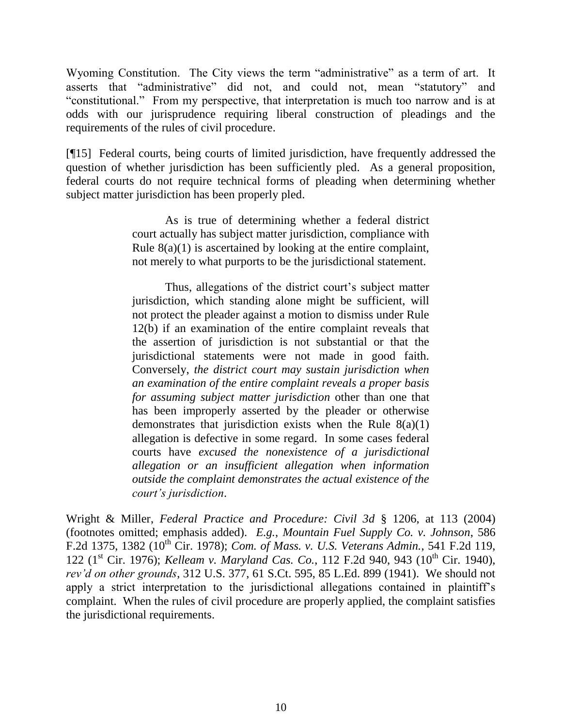Wyoming Constitution. The City views the term "administrative" as a term of art. It asserts that "administrative" did not, and could not, mean "statutory" and "constitutional." From my perspective, that interpretation is much too narrow and is at odds with our jurisprudence requiring liberal construction of pleadings and the requirements of the rules of civil procedure.

[¶15] Federal courts, being courts of limited jurisdiction, have frequently addressed the question of whether jurisdiction has been sufficiently pled. As a general proposition, federal courts do not require technical forms of pleading when determining whether subject matter jurisdiction has been properly pled.

> As is true of determining whether a federal district court actually has subject matter jurisdiction, compliance with Rule  $8(a)(1)$  is ascertained by looking at the entire complaint, not merely to what purports to be the jurisdictional statement.

> Thus, allegations of the district court's subject matter jurisdiction, which standing alone might be sufficient, will not protect the pleader against a motion to dismiss under Rule 12(b) if an examination of the entire complaint reveals that the assertion of jurisdiction is not substantial or that the jurisdictional statements were not made in good faith. Conversely, *the district court may sustain jurisdiction when an examination of the entire complaint reveals a proper basis for assuming subject matter jurisdiction* other than one that has been improperly asserted by the pleader or otherwise demonstrates that jurisdiction exists when the Rule  $8(a)(1)$ allegation is defective in some regard. In some cases federal courts have *excused the nonexistence of a jurisdictional allegation or an insufficient allegation when information outside the complaint demonstrates the actual existence of the court's jurisdiction*.

Wright & Miller, *Federal Practice and Procedure: Civil 3d* § 1206, at 113 (2004) (footnotes omitted; emphasis added). *E.g.*, *Mountain Fuel Supply Co. v. Johnson*, 586 F.2d 1375, 1382 (10th Cir. 1978); *Com. of Mass. v. U.S. Veterans Admin.*, 541 F.2d 119, 122 (1<sup>st</sup> Cir. 1976); *Kelleam v. Maryland Cas. Co.*, 112 F.2d 940, 943 (10<sup>th</sup> Cir. 1940), *rev'd on other grounds*, 312 U.S. 377, 61 S.Ct. 595, 85 L.Ed. 899 (1941). We should not apply a strict interpretation to the jurisdictional allegations contained in plaintiff"s complaint. When the rules of civil procedure are properly applied, the complaint satisfies the jurisdictional requirements.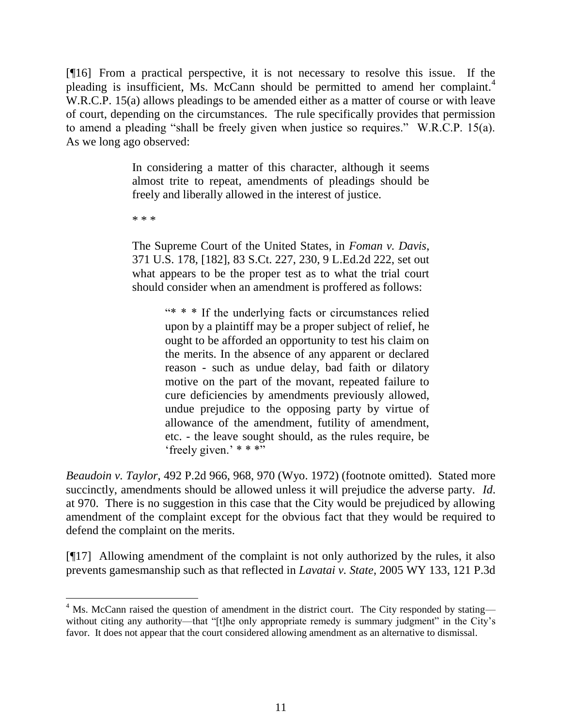[¶16] From a practical perspective, it is not necessary to resolve this issue. If the pleading is insufficient, Ms. McCann should be permitted to amend her complaint.<sup>4</sup> W.R.C.P. 15(a) allows pleadings to be amended either as a matter of course or with leave of court, depending on the circumstances. The rule specifically provides that permission to amend a pleading "shall be freely given when justice so requires." W.R.C.P. 15(a). As we long ago observed:

> In considering a matter of this character, although it seems almost trite to repeat, amendments of pleadings should be freely and liberally allowed in the interest of justice.

\* \* \*

 $\overline{a}$ 

The Supreme Court of the United States, in *Foman v. Davis*, 371 U.S. 178, [182], 83 S.Ct. 227, 230, 9 L.Ed.2d 222, set out what appears to be the proper test as to what the trial court should consider when an amendment is proffered as follows:

> "\* \* \* If the underlying facts or circumstances relied upon by a plaintiff may be a proper subject of relief, he ought to be afforded an opportunity to test his claim on the merits. In the absence of any apparent or declared reason - such as undue delay, bad faith or dilatory motive on the part of the movant, repeated failure to cure deficiencies by amendments previously allowed, undue prejudice to the opposing party by virtue of allowance of the amendment, futility of amendment, etc. - the leave sought should, as the rules require, be 'freely given.'  $* * * "$

*Beaudoin v. Taylor*, 492 P.2d 966, 968, 970 (Wyo. 1972) (footnote omitted). Stated more succinctly, amendments should be allowed unless it will prejudice the adverse party. *Id*. at 970. There is no suggestion in this case that the City would be prejudiced by allowing amendment of the complaint except for the obvious fact that they would be required to defend the complaint on the merits.

[¶17] Allowing amendment of the complaint is not only authorized by the rules, it also prevents gamesmanship such as that reflected in *Lavatai v. State*, 2005 WY 133, 121 P.3d

 $4$  Ms. McCann raised the question of amendment in the district court. The City responded by stating without citing any authority—that "[t]he only appropriate remedy is summary judgment" in the City's favor. It does not appear that the court considered allowing amendment as an alternative to dismissal.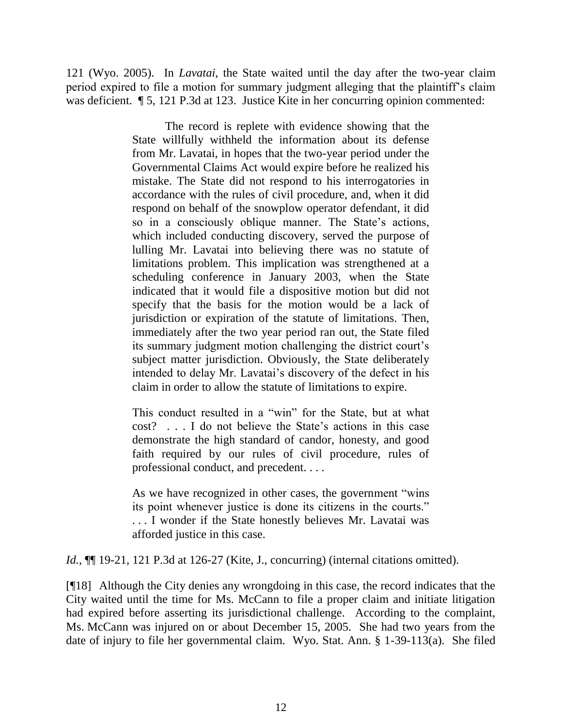121 (Wyo. 2005). In *Lavatai*, the State waited until the day after the two-year claim period expired to file a motion for summary judgment alleging that the plaintiff"s claim was deficient.  $\sqrt{5}$ , 121 P.3d at 123. Justice Kite in her concurring opinion commented:

> The record is replete with evidence showing that the State willfully withheld the information about its defense from Mr. Lavatai, in hopes that the two-year period under the Governmental Claims Act would expire before he realized his mistake. The State did not respond to his interrogatories in accordance with the rules of civil procedure, and, when it did respond on behalf of the snowplow operator defendant, it did so in a consciously oblique manner. The State's actions, which included conducting discovery, served the purpose of lulling Mr. Lavatai into believing there was no statute of limitations problem. This implication was strengthened at a scheduling conference in January 2003, when the State indicated that it would file a dispositive motion but did not specify that the basis for the motion would be a lack of jurisdiction or expiration of the statute of limitations. Then, immediately after the two year period ran out, the State filed its summary judgment motion challenging the district court's subject matter jurisdiction. Obviously, the State deliberately intended to delay Mr. Lavatai's discovery of the defect in his claim in order to allow the statute of limitations to expire.

> This conduct resulted in a "win" for the State, but at what cost? . . . I do not believe the State"s actions in this case demonstrate the high standard of candor, honesty, and good faith required by our rules of civil procedure, rules of professional conduct, and precedent. . . .

> As we have recognized in other cases, the government "wins its point whenever justice is done its citizens in the courts." . . . I wonder if the State honestly believes Mr. Lavatai was afforded justice in this case.

*Id.*, **[14.** 19-21, 121 P.3d at 126-27 (Kite, J., concurring) (internal citations omitted).

[¶18] Although the City denies any wrongdoing in this case, the record indicates that the City waited until the time for Ms. McCann to file a proper claim and initiate litigation had expired before asserting its jurisdictional challenge. According to the complaint, Ms. McCann was injured on or about December 15, 2005. She had two years from the date of injury to file her governmental claim. Wyo. Stat. Ann. § 1-39-113(a). She filed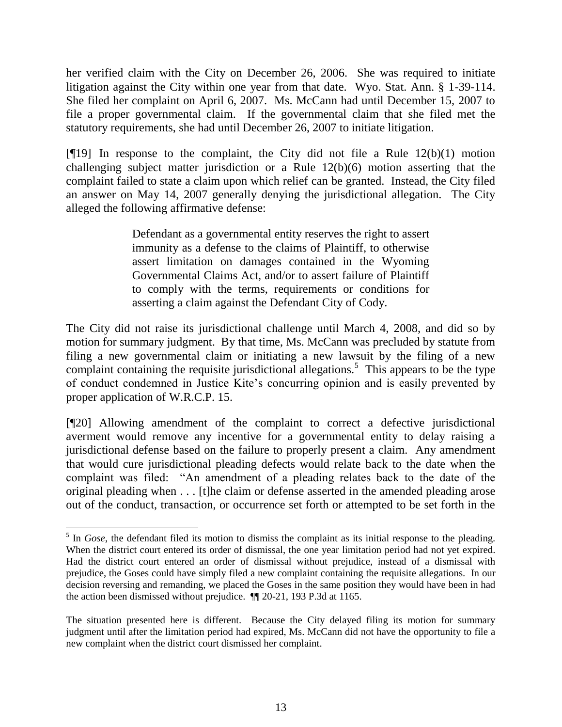her verified claim with the City on December 26, 2006. She was required to initiate litigation against the City within one year from that date. Wyo. Stat. Ann. § 1-39-114. She filed her complaint on April 6, 2007. Ms. McCann had until December 15, 2007 to file a proper governmental claim. If the governmental claim that she filed met the statutory requirements, she had until December 26, 2007 to initiate litigation.

[ $[19]$ ] In response to the complaint, the City did not file a Rule  $12(b)(1)$  motion challenging subject matter jurisdiction or a Rule 12(b)(6) motion asserting that the complaint failed to state a claim upon which relief can be granted. Instead, the City filed an answer on May 14, 2007 generally denying the jurisdictional allegation. The City alleged the following affirmative defense:

> Defendant as a governmental entity reserves the right to assert immunity as a defense to the claims of Plaintiff, to otherwise assert limitation on damages contained in the Wyoming Governmental Claims Act, and/or to assert failure of Plaintiff to comply with the terms, requirements or conditions for asserting a claim against the Defendant City of Cody.

The City did not raise its jurisdictional challenge until March 4, 2008, and did so by motion for summary judgment. By that time, Ms. McCann was precluded by statute from filing a new governmental claim or initiating a new lawsuit by the filing of a new complaint containing the requisite jurisdictional allegations.<sup>5</sup> This appears to be the type of conduct condemned in Justice Kite"s concurring opinion and is easily prevented by proper application of W.R.C.P. 15.

[¶20] Allowing amendment of the complaint to correct a defective jurisdictional averment would remove any incentive for a governmental entity to delay raising a jurisdictional defense based on the failure to properly present a claim. Any amendment that would cure jurisdictional pleading defects would relate back to the date when the complaint was filed: "An amendment of a pleading relates back to the date of the original pleading when . . . [t]he claim or defense asserted in the amended pleading arose out of the conduct, transaction, or occurrence set forth or attempted to be set forth in the

<sup>&</sup>lt;sup>5</sup> In *Gose*, the defendant filed its motion to dismiss the complaint as its initial response to the pleading. When the district court entered its order of dismissal, the one year limitation period had not yet expired. Had the district court entered an order of dismissal without prejudice, instead of a dismissal with prejudice, the Goses could have simply filed a new complaint containing the requisite allegations. In our decision reversing and remanding, we placed the Goses in the same position they would have been in had the action been dismissed without prejudice. ¶¶ 20-21, 193 P.3d at 1165.

The situation presented here is different. Because the City delayed filing its motion for summary judgment until after the limitation period had expired, Ms. McCann did not have the opportunity to file a new complaint when the district court dismissed her complaint.